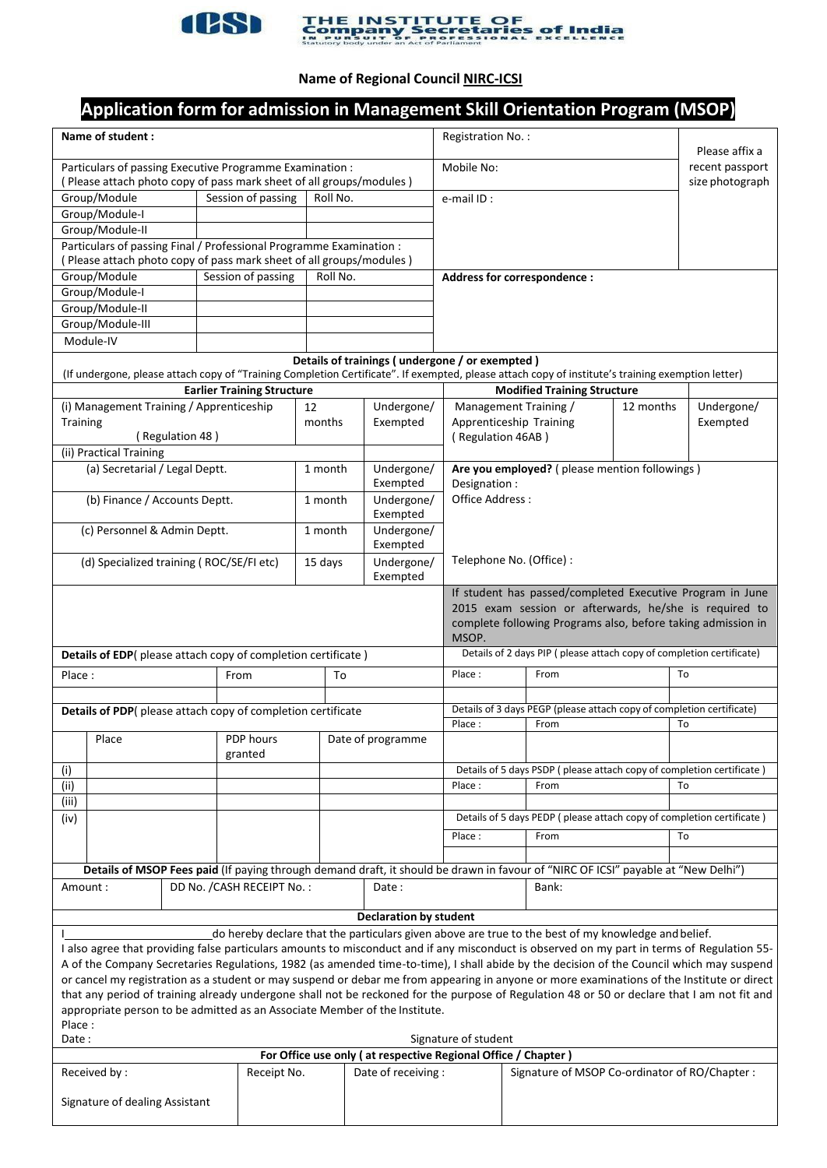

# **ESSIER THE INSTITUTE OF Company Secretaries of India**

# **Name of Regional Council NIRC-ICSI**

# **Application form for admission in Management Skill Orientation Program (MSOP)**

| Name of student:                                                                                                                                                                                                                                   |                                |  |                    |                     |                                   |                               | Registration No.:                                                                |                                                                                                                                   |           | Please affix a  |  |
|----------------------------------------------------------------------------------------------------------------------------------------------------------------------------------------------------------------------------------------------------|--------------------------------|--|--------------------|---------------------|-----------------------------------|-------------------------------|----------------------------------------------------------------------------------|-----------------------------------------------------------------------------------------------------------------------------------|-----------|-----------------|--|
| Particulars of passing Executive Programme Examination :                                                                                                                                                                                           |                                |  |                    |                     |                                   |                               | Mobile No:                                                                       |                                                                                                                                   |           | recent passport |  |
| (Please attach photo copy of pass mark sheet of all groups/modules)                                                                                                                                                                                |                                |  |                    |                     |                                   |                               |                                                                                  |                                                                                                                                   |           | size photograph |  |
| Group/Module                                                                                                                                                                                                                                       |                                |  | Session of passing | Roll No.            |                                   | e-mail ID:                    |                                                                                  |                                                                                                                                   |           |                 |  |
| Group/Module-I                                                                                                                                                                                                                                     |                                |  |                    |                     |                                   |                               |                                                                                  |                                                                                                                                   |           |                 |  |
|                                                                                                                                                                                                                                                    | Group/Module-II                |  |                    |                     |                                   |                               |                                                                                  |                                                                                                                                   |           |                 |  |
| Particulars of passing Final / Professional Programme Examination :                                                                                                                                                                                |                                |  |                    |                     |                                   |                               |                                                                                  |                                                                                                                                   |           |                 |  |
| Please attach photo copy of pass mark sheet of all groups/modules)                                                                                                                                                                                 |                                |  |                    |                     |                                   |                               |                                                                                  |                                                                                                                                   |           |                 |  |
| Group/Module<br>Session of passing                                                                                                                                                                                                                 |                                |  |                    |                     | Roll No.                          |                               |                                                                                  | Address for correspondence :                                                                                                      |           |                 |  |
| Group/Module-I                                                                                                                                                                                                                                     |                                |  |                    |                     |                                   |                               |                                                                                  |                                                                                                                                   |           |                 |  |
| Group/Module-II                                                                                                                                                                                                                                    |                                |  |                    |                     |                                   |                               |                                                                                  |                                                                                                                                   |           |                 |  |
| Group/Module-III                                                                                                                                                                                                                                   |                                |  |                    |                     |                                   |                               |                                                                                  |                                                                                                                                   |           |                 |  |
|                                                                                                                                                                                                                                                    | Module-IV                      |  |                    |                     |                                   |                               |                                                                                  |                                                                                                                                   |           |                 |  |
| Details of trainings (undergone / or exempted)                                                                                                                                                                                                     |                                |  |                    |                     |                                   |                               |                                                                                  |                                                                                                                                   |           |                 |  |
| (If undergone, please attach copy of "Training Completion Certificate". If exempted, please attach copy of institute's training exemption letter)                                                                                                  |                                |  |                    |                     |                                   |                               |                                                                                  |                                                                                                                                   |           |                 |  |
| <b>Earlier Training Structure</b>                                                                                                                                                                                                                  |                                |  |                    |                     |                                   |                               |                                                                                  | <b>Modified Training Structure</b>                                                                                                |           |                 |  |
| (i) Management Training / Apprenticeship                                                                                                                                                                                                           |                                |  |                    |                     | 12                                | Undergone/                    |                                                                                  | Management Training /                                                                                                             | 12 months | Undergone/      |  |
|                                                                                                                                                                                                                                                    | Training                       |  |                    |                     | months                            | Exempted                      |                                                                                  | Apprenticeship Training                                                                                                           |           | Exempted        |  |
| (Regulation 48)                                                                                                                                                                                                                                    |                                |  |                    |                     |                                   |                               | (Regulation 46AB)                                                                |                                                                                                                                   |           |                 |  |
| (ii) Practical Training                                                                                                                                                                                                                            |                                |  |                    |                     |                                   |                               |                                                                                  |                                                                                                                                   |           |                 |  |
| (a) Secretarial / Legal Deptt.                                                                                                                                                                                                                     |                                |  |                    |                     | Undergone/<br>1 month<br>Exempted |                               | Are you employed? (please mention followings)<br>Designation:<br>Office Address: |                                                                                                                                   |           |                 |  |
| (b) Finance / Accounts Deptt.                                                                                                                                                                                                                      |                                |  |                    |                     | Undergone/<br>1 month             |                               |                                                                                  |                                                                                                                                   |           |                 |  |
| (c) Personnel & Admin Deptt.                                                                                                                                                                                                                       |                                |  |                    |                     | 1 month                           | Exempted<br>Undergone/        |                                                                                  |                                                                                                                                   |           |                 |  |
|                                                                                                                                                                                                                                                    |                                |  |                    |                     |                                   | Exempted                      |                                                                                  |                                                                                                                                   |           |                 |  |
| (d) Specialized training (ROC/SE/FI etc)                                                                                                                                                                                                           |                                |  |                    |                     | Undergone/<br>15 days<br>Exempted |                               | Telephone No. (Office) :                                                         |                                                                                                                                   |           |                 |  |
| If student has passed/completed Executive Program in June                                                                                                                                                                                          |                                |  |                    |                     |                                   |                               |                                                                                  |                                                                                                                                   |           |                 |  |
|                                                                                                                                                                                                                                                    |                                |  |                    |                     |                                   |                               |                                                                                  | 2015 exam session or afterwards, he/she is required to                                                                            |           |                 |  |
|                                                                                                                                                                                                                                                    |                                |  |                    |                     |                                   |                               | complete following Programs also, before taking admission in<br>MSOP.            |                                                                                                                                   |           |                 |  |
| Details of EDP(please attach copy of completion certificate)                                                                                                                                                                                       |                                |  |                    |                     |                                   |                               |                                                                                  | Details of 2 days PIP (please attach copy of completion certificate)                                                              |           |                 |  |
| Place:<br>From                                                                                                                                                                                                                                     |                                |  |                    |                     | To                                |                               | Place:                                                                           | From                                                                                                                              |           | To              |  |
|                                                                                                                                                                                                                                                    |                                |  |                    |                     |                                   |                               |                                                                                  |                                                                                                                                   |           |                 |  |
| Details of PDP(please attach copy of completion certificate                                                                                                                                                                                        |                                |  |                    |                     |                                   |                               |                                                                                  | Details of 3 days PEGP (please attach copy of completion certificate)                                                             |           |                 |  |
|                                                                                                                                                                                                                                                    |                                |  |                    |                     |                                   | Place:                        | From                                                                             |                                                                                                                                   | To        |                 |  |
|                                                                                                                                                                                                                                                    | Place                          |  |                    | PDP hours           |                                   | Date of programme             |                                                                                  |                                                                                                                                   |           |                 |  |
|                                                                                                                                                                                                                                                    |                                |  | granted            |                     |                                   |                               |                                                                                  |                                                                                                                                   |           |                 |  |
| (i)                                                                                                                                                                                                                                                |                                |  |                    |                     |                                   |                               |                                                                                  | Details of 5 days PSDP (please attach copy of completion certificate)                                                             |           |                 |  |
| (ii)                                                                                                                                                                                                                                               |                                |  |                    |                     |                                   |                               | Place:                                                                           | From                                                                                                                              | To        |                 |  |
| (iii)                                                                                                                                                                                                                                              |                                |  |                    |                     |                                   |                               |                                                                                  |                                                                                                                                   |           |                 |  |
| (iv)                                                                                                                                                                                                                                               |                                |  |                    |                     |                                   |                               |                                                                                  | Details of 5 days PEDP (please attach copy of completion certificate)                                                             |           |                 |  |
|                                                                                                                                                                                                                                                    |                                |  |                    |                     |                                   |                               | Place:                                                                           | From                                                                                                                              |           | To              |  |
|                                                                                                                                                                                                                                                    |                                |  |                    |                     |                                   |                               |                                                                                  |                                                                                                                                   |           |                 |  |
|                                                                                                                                                                                                                                                    |                                |  |                    |                     |                                   |                               |                                                                                  | Details of MSOP Fees paid (If paying through demand draft, it should be drawn in favour of "NIRC OF ICSI" payable at "New Delhi") |           |                 |  |
|                                                                                                                                                                                                                                                    |                                |  |                    |                     |                                   | Date:                         |                                                                                  | Bank:                                                                                                                             |           |                 |  |
| DD No. / CASH RECEIPT No.:<br>Amount:                                                                                                                                                                                                              |                                |  |                    |                     |                                   |                               |                                                                                  |                                                                                                                                   |           |                 |  |
|                                                                                                                                                                                                                                                    |                                |  |                    |                     |                                   | <b>Declaration by student</b> |                                                                                  |                                                                                                                                   |           |                 |  |
|                                                                                                                                                                                                                                                    |                                |  |                    |                     |                                   |                               |                                                                                  |                                                                                                                                   |           |                 |  |
| do hereby declare that the particulars given above are true to the best of my knowledge and belief.<br>I also agree that providing false particulars amounts to misconduct and if any misconduct is observed on my part in terms of Regulation 55- |                                |  |                    |                     |                                   |                               |                                                                                  |                                                                                                                                   |           |                 |  |
| A of the Company Secretaries Regulations, 1982 (as amended time-to-time), I shall abide by the decision of the Council which may suspend                                                                                                           |                                |  |                    |                     |                                   |                               |                                                                                  |                                                                                                                                   |           |                 |  |
| or cancel my registration as a student or may suspend or debar me from appearing in anyone or more examinations of the Institute or direct                                                                                                         |                                |  |                    |                     |                                   |                               |                                                                                  |                                                                                                                                   |           |                 |  |
| that any period of training already undergone shall not be reckoned for the purpose of Regulation 48 or 50 or declare that I am not fit and                                                                                                        |                                |  |                    |                     |                                   |                               |                                                                                  |                                                                                                                                   |           |                 |  |
| appropriate person to be admitted as an Associate Member of the Institute.                                                                                                                                                                         |                                |  |                    |                     |                                   |                               |                                                                                  |                                                                                                                                   |           |                 |  |
| Place:                                                                                                                                                                                                                                             |                                |  |                    |                     |                                   |                               |                                                                                  |                                                                                                                                   |           |                 |  |
| Date:<br>Signature of student                                                                                                                                                                                                                      |                                |  |                    |                     |                                   |                               |                                                                                  |                                                                                                                                   |           |                 |  |
| For Office use only (at respective Regional Office / Chapter)                                                                                                                                                                                      |                                |  |                    |                     |                                   |                               |                                                                                  |                                                                                                                                   |           |                 |  |
| Received by:                                                                                                                                                                                                                                       |                                |  | Receipt No.        | Date of receiving : |                                   |                               | Signature of MSOP Co-ordinator of RO/Chapter:                                    |                                                                                                                                   |           |                 |  |
|                                                                                                                                                                                                                                                    |                                |  |                    |                     |                                   |                               |                                                                                  |                                                                                                                                   |           |                 |  |
|                                                                                                                                                                                                                                                    | Signature of dealing Assistant |  |                    |                     |                                   |                               |                                                                                  |                                                                                                                                   |           |                 |  |
|                                                                                                                                                                                                                                                    |                                |  |                    |                     |                                   |                               |                                                                                  |                                                                                                                                   |           |                 |  |